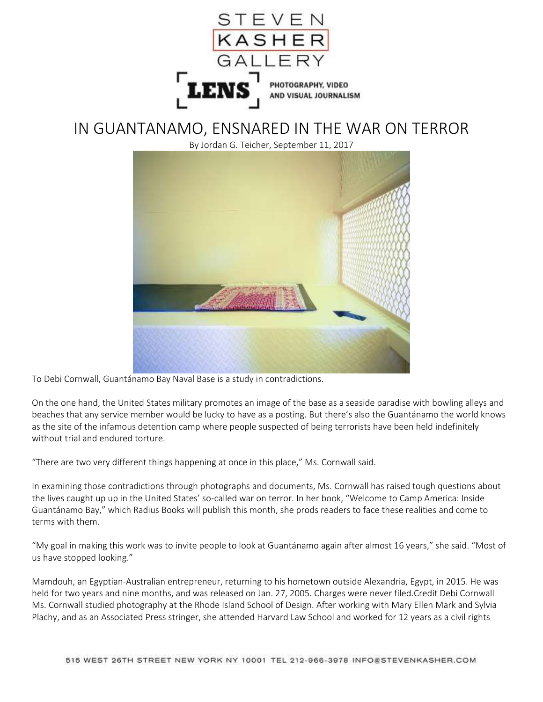

## IN GUANTANAMO, ENSNARED IN THE WAR ON TERROR

By Jordan G. Teicher, September 11, 2017



To Debi Cornwall, Guantánamo Bay Naval Base is a study in contradictions.

On the one hand, the United States military promotes an image of the base as a seaside paradise with bowling alleys and beaches that any service member would be lucky to have as a posting. But there's also the Guantánamo the world knows as the site of the infamous detention camp where people suspected of being terrorists have been held indefinitely without trial and endured torture.

"There are two very different things happening at once in this place," Ms. Cornwall said.

In examining those contradictions through photographs and documents, Ms. Cornwall has raised tough questions about the lives caught up up in the United States' so-called war on terror. In her book, "Welcome to Camp America: Inside Guantánamo Bay," which Radius Books will publish this month, she prods readers to face these realities and come to terms with them.

"My goal in making this work was to invite people to look at Guantánamo again after almost 16 years," she said. "Most of us have stopped looking."

Mamdouh, an Egyptian-Australian entrepreneur, returning to his hometown outside Alexandria, Egypt, in 2015. He was held for two years and nine months, and was released on Jan. 27, 2005. Charges were never filed.Credit Debi Cornwall Ms. Cornwall studied photography at the Rhode Island School of Design. After working with Mary Ellen Mark and Sylvia Plachy, and as an Associated Press stringer, she attended Harvard Law School and worked for 12 years as a civil rights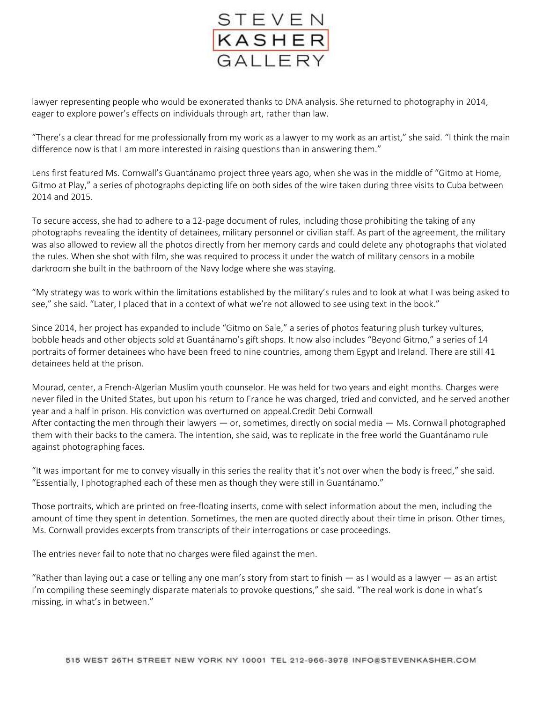

lawyer representing people who would be exonerated thanks to DNA analysis. She returned to photography in 2014, eager to explore power's effects on individuals through art, rather than law.

"There's a clear thread for me professionally from my work as a lawyer to my work as an artist," she said. "I think the main difference now is that I am more interested in raising questions than in answering them."

Lens first featured Ms. Cornwall's Guantánamo project three years ago, when she was in the middle of "Gitmo at Home, Gitmo at Play," a series of photographs depicting life on both sides of the wire taken during three visits to Cuba between 2014 and 2015.

To secure access, she had to adhere to a 12-page document of rules, including those prohibiting the taking of any photographs revealing the identity of detainees, military personnel or civilian staff. As part of the agreement, the military was also allowed to review all the photos directly from her memory cards and could delete any photographs that violated the rules. When she shot with film, she was required to process it under the watch of military censors in a mobile darkroom she built in the bathroom of the Navy lodge where she was staying.

"My strategy was to work within the limitations established by the military's rules and to look at what I was being asked to see," she said. "Later, I placed that in a context of what we're not allowed to see using text in the book."

Since 2014, her project has expanded to include "Gitmo on Sale," a series of photos featuring plush turkey vultures, bobble heads and other objects sold at Guantánamo's gift shops. It now also includes "Beyond Gitmo," a series of 14 portraits of former detainees who have been freed to nine countries, among them Egypt and Ireland. There are still 41 detainees held at the prison.

Mourad, center, a French-Algerian Muslim youth counselor. He was held for two years and eight months. Charges were never filed in the United States, but upon his return to France he was charged, tried and convicted, and he served another year and a half in prison. His conviction was overturned on appeal.Credit Debi Cornwall After contacting the men through their lawyers  $-$  or, sometimes, directly on social media  $-$  Ms. Cornwall photographed them with their backs to the camera. The intention, she said, was to replicate in the free world the Guantánamo rule against photographing faces.

"It was important for me to convey visually in this series the reality that it's not over when the body is freed," she said. "Essentially, I photographed each of these men as though they were still in Guantánamo."

Those portraits, which are printed on free-floating inserts, come with select information about the men, including the amount of time they spent in detention. Sometimes, the men are quoted directly about their time in prison. Other times, Ms. Cornwall provides excerpts from transcripts of their interrogations or case proceedings.

The entries never fail to note that no charges were filed against the men.

"Rather than laying out a case or telling any one man's story from start to finish — as I would as a lawyer — as an artist I'm compiling these seemingly disparate materials to provoke questions," she said. "The real work is done in what's missing, in what's in between."